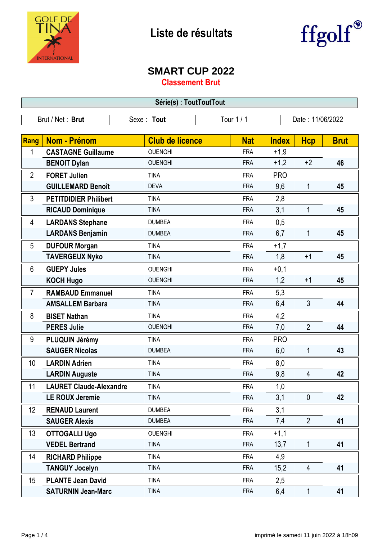



## **SMART CUP 2022**

**Classement Brut**

| Série(s): ToutToutTout |                                |                        |            |                  |                |             |  |
|------------------------|--------------------------------|------------------------|------------|------------------|----------------|-------------|--|
|                        | Brut / Net: Brut               | Sexe: Tout             | Tour 1 / 1 | Date: 11/06/2022 |                |             |  |
| Rang                   | Nom - Prénom                   | <b>Club de licence</b> | <b>Nat</b> | <b>Index</b>     | <b>Hcp</b>     | <b>Brut</b> |  |
| 1                      | <b>CASTAGNE Guillaume</b>      | <b>OUENGHI</b>         | <b>FRA</b> | $+1,9$           |                |             |  |
|                        | <b>BENOIT Dylan</b>            | <b>OUENGHI</b>         | <b>FRA</b> | $+1,2$           | $+2$           | 46          |  |
| $\overline{2}$         | <b>FORET Julien</b>            | <b>TINA</b>            | <b>FRA</b> | <b>PRO</b>       |                |             |  |
|                        | <b>GUILLEMARD Benoît</b>       | <b>DEVA</b>            | <b>FRA</b> | 9,6              | 1              | 45          |  |
| 3                      | <b>PETITDIDIER Philibert</b>   | <b>TINA</b>            | <b>FRA</b> | 2,8              |                |             |  |
|                        | <b>RICAUD Dominique</b>        | <b>TINA</b>            | <b>FRA</b> | 3,1              | 1              | 45          |  |
| 4                      | <b>LARDANS Stephane</b>        | <b>DUMBEA</b>          | <b>FRA</b> | 0,5              |                |             |  |
|                        | <b>LARDANS Benjamin</b>        | <b>DUMBEA</b>          | <b>FRA</b> | 6,7              | 1              | 45          |  |
| 5                      | <b>DUFOUR Morgan</b>           | <b>TINA</b>            | <b>FRA</b> | $+1,7$           |                |             |  |
|                        | <b>TAVERGEUX Nyko</b>          | <b>TINA</b>            | <b>FRA</b> | 1,8              | $+1$           | 45          |  |
| 6                      | <b>GUEPY Jules</b>             | <b>OUENGHI</b>         | <b>FRA</b> | $+0,1$           |                |             |  |
|                        | <b>KOCH Hugo</b>               | <b>OUENGHI</b>         | <b>FRA</b> | 1,2              | $+1$           | 45          |  |
| $\overline{7}$         | <b>RAMBAUD Emmanuel</b>        | <b>TINA</b>            | <b>FRA</b> | 5,3              |                |             |  |
|                        | <b>AMSALLEM Barbara</b>        | <b>TINA</b>            | <b>FRA</b> | 6,4              | $\mathfrak{Z}$ | 44          |  |
| 8                      | <b>BISET Nathan</b>            | <b>TINA</b>            | <b>FRA</b> | 4,2              |                |             |  |
|                        | <b>PERES Julie</b>             | <b>OUENGHI</b>         | <b>FRA</b> | 7,0              | $\overline{2}$ | 44          |  |
| 9                      | PLUQUIN Jérémy                 | <b>TINA</b>            | <b>FRA</b> | <b>PRO</b>       |                |             |  |
|                        | <b>SAUGER Nicolas</b>          | <b>DUMBEA</b>          | <b>FRA</b> | 6,0              | 1              | 43          |  |
| 10                     | <b>LARDIN Adrien</b>           | <b>TINA</b>            | <b>FRA</b> | 8,0              |                |             |  |
|                        | <b>LARDIN Auguste</b>          | <b>TINA</b>            | <b>FRA</b> | 9,8              | 4              | 42          |  |
| 11                     | <b>LAURET Claude-Alexandre</b> | <b>TINA</b>            | <b>FRA</b> | 1,0              |                |             |  |
|                        | <b>LE ROUX Jeremie</b>         | <b>TINA</b>            | <b>FRA</b> | 3,1              | $\mathbf{0}$   | 42          |  |
| 12                     | <b>RENAUD Laurent</b>          | <b>DUMBEA</b>          | <b>FRA</b> | 3,1              |                |             |  |
|                        | <b>SAUGER Alexis</b>           | <b>DUMBEA</b>          | <b>FRA</b> | 7,4              | $\overline{2}$ | 41          |  |
| 13                     | <b>OTTOGALLI Ugo</b>           | <b>OUENGHI</b>         | <b>FRA</b> | $+1,1$           |                |             |  |
|                        | <b>VEDEL Bertrand</b>          | <b>TINA</b>            | <b>FRA</b> | 13,7             | $\mathbf{1}$   | 41          |  |
| 14                     | <b>RICHARD Philippe</b>        | <b>TINA</b>            | <b>FRA</b> | 4,9              |                |             |  |
|                        | <b>TANGUY Jocelyn</b>          | <b>TINA</b>            | <b>FRA</b> | 15,2             | $\overline{4}$ | 41          |  |
| 15                     | <b>PLANTE Jean David</b>       | <b>TINA</b>            | <b>FRA</b> | 2,5              |                |             |  |
|                        | <b>SATURNIN Jean-Marc</b>      | <b>TINA</b>            | <b>FRA</b> | 6,4              | 1              | 41          |  |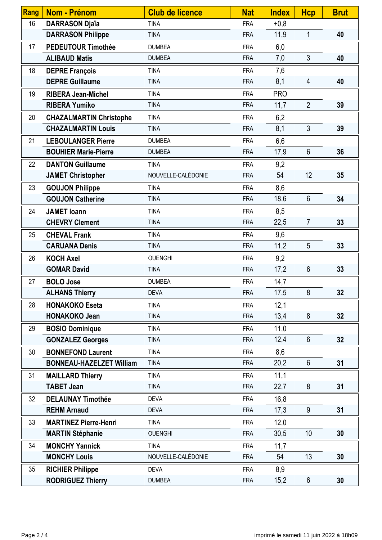| Rang | <b>Nom - Prénom</b>             | <b>Club de licence</b> | <b>Nat</b> | <b>Index</b> | <b>Hcp</b>      | <b>Brut</b> |
|------|---------------------------------|------------------------|------------|--------------|-----------------|-------------|
| 16   | <b>DARRASON Djaïa</b>           | <b>TINA</b>            | <b>FRA</b> | $+0,8$       |                 |             |
|      | <b>DARRASON Philippe</b>        | <b>TINA</b>            | <b>FRA</b> | 11,9         | 1               | 40          |
| 17   | <b>PEDEUTOUR Timothée</b>       | <b>DUMBEA</b>          | <b>FRA</b> | 6,0          |                 |             |
|      | <b>ALIBAUD Matis</b>            | <b>DUMBEA</b>          | <b>FRA</b> | 7,0          | $\mathfrak{Z}$  | 40          |
| 18   | <b>DEPRE François</b>           | <b>TINA</b>            | <b>FRA</b> | 7,6          |                 |             |
|      | <b>DEPRE Guillaume</b>          | <b>TINA</b>            | <b>FRA</b> | 8,1          | $\overline{4}$  | 40          |
| 19   | <b>RIBERA Jean-Michel</b>       | <b>TINA</b>            | <b>FRA</b> | <b>PRO</b>   |                 |             |
|      | <b>RIBERA Yumiko</b>            | <b>TINA</b>            | <b>FRA</b> | 11,7         | $\overline{2}$  | 39          |
| 20   | <b>CHAZALMARTIN Christophe</b>  | <b>TINA</b>            | <b>FRA</b> | 6,2          |                 |             |
|      | <b>CHAZALMARTIN Louis</b>       | <b>TINA</b>            | <b>FRA</b> | 8,1          | $\mathfrak{Z}$  | 39          |
| 21   | <b>LEBOULANGER Pierre</b>       | <b>DUMBEA</b>          | <b>FRA</b> | 6,6          |                 |             |
|      | <b>BOUHIER Marie-Pierre</b>     | <b>DUMBEA</b>          | <b>FRA</b> | 17,9         | $6\phantom{1}$  | 36          |
| 22   | <b>DANTON Guillaume</b>         | <b>TINA</b>            | <b>FRA</b> | 9,2          |                 |             |
|      | <b>JAMET Christopher</b>        | NOUVELLE-CALÉDONIE     | <b>FRA</b> | 54           | 12              | 35          |
| 23   | <b>GOUJON Philippe</b>          | <b>TINA</b>            | <b>FRA</b> | 8,6          |                 |             |
|      | <b>GOUJON Catherine</b>         | <b>TINA</b>            | <b>FRA</b> | 18,6         | $6\phantom{1}$  | 34          |
| 24   | <b>JAMET</b> loann              | <b>TINA</b>            | <b>FRA</b> | 8,5          |                 |             |
|      | <b>CHEVRY Clement</b>           | <b>TINA</b>            | <b>FRA</b> | 22,5         | $\overline{7}$  | 33          |
| 25   | <b>CHEVAL Frank</b>             | <b>TINA</b>            | <b>FRA</b> | 9,6          |                 |             |
|      | <b>CARUANA Denis</b>            | <b>TINA</b>            | <b>FRA</b> | 11,2         | 5               | 33          |
| 26   | <b>KOCH Axel</b>                | <b>OUENGHI</b>         | <b>FRA</b> | 9,2          |                 |             |
|      | <b>GOMAR David</b>              | <b>TINA</b>            | <b>FRA</b> | 17,2         | $6\phantom{1}$  | 33          |
| 27   | <b>BOLO Jose</b>                | <b>DUMBEA</b>          | <b>FRA</b> | 14,7         |                 |             |
|      | <b>ALHANS Thierry</b>           | <b>DEVA</b>            | <b>FRA</b> | 17,5         | $\bf 8$         | 32          |
| 28   | <b>HONAKOKO Eseta</b>           | <b>TINA</b>            | <b>FRA</b> | 12,1         |                 |             |
|      | <b>HONAKOKO Jean</b>            | <b>TINA</b>            | <b>FRA</b> | 13,4         | 8               | 32          |
| 29   | <b>BOSIO Dominique</b>          | <b>TINA</b>            | <b>FRA</b> | 11,0         |                 |             |
|      | <b>GONZALEZ Georges</b>         | <b>TINA</b>            | <b>FRA</b> | 12,4         | $6\phantom{1}$  | 32          |
| 30   | <b>BONNEFOND Laurent</b>        | <b>TINA</b>            | <b>FRA</b> | 8,6          |                 |             |
|      | <b>BONNEAU-HAZELZET William</b> | <b>TINA</b>            | <b>FRA</b> | 20,2         | $6\phantom{1}$  | 31          |
| 31   | <b>MAILLARD Thierry</b>         | <b>TINA</b>            | <b>FRA</b> | 11,1         |                 |             |
|      | <b>TABET Jean</b>               | <b>TINA</b>            | <b>FRA</b> | 22,7         | 8               | 31          |
| 32   | <b>DELAUNAY Timothée</b>        | <b>DEVA</b>            | <b>FRA</b> | 16,8         |                 |             |
|      | <b>REHM Arnaud</b>              | <b>DEVA</b>            | <b>FRA</b> | 17,3         | 9               | 31          |
| 33   | <b>MARTINEZ Pierre-Henri</b>    | <b>TINA</b>            | <b>FRA</b> | 12,0         |                 |             |
|      | <b>MARTIN Stéphanie</b>         | <b>OUENGHI</b>         | <b>FRA</b> | 30,5         | 10 <sup>1</sup> | 30          |
| 34   | <b>MONCHY Yannick</b>           | <b>TINA</b>            | <b>FRA</b> | 11,7         |                 |             |
|      | <b>MONCHY Louis</b>             | NOUVELLE-CALÉDONIE     | <b>FRA</b> | 54           | 13              | 30          |
| 35   | <b>RICHIER Philippe</b>         | <b>DEVA</b>            | <b>FRA</b> | 8,9          |                 |             |
|      | <b>RODRIGUEZ Thierry</b>        | <b>DUMBEA</b>          | <b>FRA</b> | 15,2         | $6\phantom{.}6$ | 30          |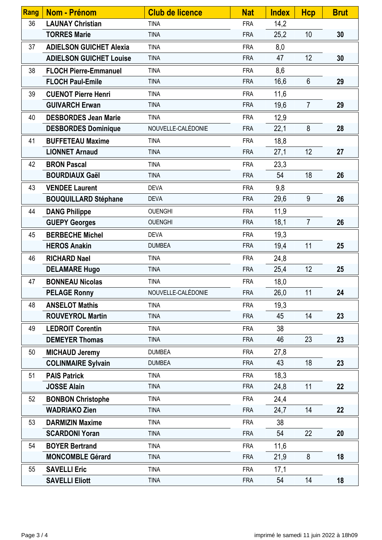| <b>Rang</b> | <b>Nom - Prénom</b>            | <b>Club de licence</b> | <b>Nat</b> | <b>Index</b> | <b>Hcp</b>     | <b>Brut</b> |
|-------------|--------------------------------|------------------------|------------|--------------|----------------|-------------|
| 36          | <b>LAUNAY Christian</b>        | <b>TINA</b>            | <b>FRA</b> | 14,2         |                |             |
|             | <b>TORRES Marie</b>            | <b>TINA</b>            | <b>FRA</b> | 25,2         | 10             | 30          |
| 37          | <b>ADIELSON GUICHET Alexia</b> | <b>TINA</b>            | <b>FRA</b> | 8,0          |                |             |
|             | <b>ADIELSON GUICHET Louise</b> | <b>TINA</b>            | <b>FRA</b> | 47           | 12             | 30          |
| 38          | <b>FLOCH Pierre-Emmanuel</b>   | <b>TINA</b>            | <b>FRA</b> | 8,6          |                |             |
|             | <b>FLOCH Paul-Emile</b>        | <b>TINA</b>            | <b>FRA</b> | 16,6         | $6\phantom{1}$ | 29          |
| 39          | <b>CUENOT Pierre Henri</b>     | <b>TINA</b>            | <b>FRA</b> | 11,6         |                |             |
|             | <b>GUIVARCH Erwan</b>          | <b>TINA</b>            | <b>FRA</b> | 19,6         | $\overline{7}$ | 29          |
| 40          | <b>DESBORDES Jean Marie</b>    | <b>TINA</b>            | <b>FRA</b> | 12,9         |                |             |
|             | <b>DESBORDES Dominique</b>     | NOUVELLE-CALÉDONIE     | <b>FRA</b> | 22,1         | 8              | 28          |
| 41          | <b>BUFFETEAU Maxime</b>        | <b>TINA</b>            | <b>FRA</b> | 18,8         |                |             |
|             | <b>LIONNET Arnaud</b>          | <b>TINA</b>            | <b>FRA</b> | 27,1         | 12             | 27          |
| 42          | <b>BRON Pascal</b>             | <b>TINA</b>            | <b>FRA</b> | 23,3         |                |             |
|             | <b>BOURDIAUX Gaël</b>          | <b>TINA</b>            | <b>FRA</b> | 54           | 18             | 26          |
| 43          | <b>VENDEE Laurent</b>          | <b>DEVA</b>            | <b>FRA</b> | 9,8          |                |             |
|             | <b>BOUQUILLARD Stéphane</b>    | <b>DEVA</b>            | <b>FRA</b> | 29,6         | 9              | 26          |
| 44          | <b>DANG Philippe</b>           | <b>OUENGHI</b>         | <b>FRA</b> | 11,9         |                |             |
|             | <b>GUEPY Georges</b>           | <b>OUENGHI</b>         | <b>FRA</b> | 18,1         | $\overline{7}$ | 26          |
| 45          | <b>BERBECHE Michel</b>         | <b>DEVA</b>            | <b>FRA</b> | 19,3         |                |             |
|             | <b>HEROS Anakin</b>            | <b>DUMBEA</b>          | <b>FRA</b> | 19,4         | 11             | 25          |
| 46          | <b>RICHARD Nael</b>            | <b>TINA</b>            | <b>FRA</b> | 24,8         |                |             |
|             | <b>DELAMARE Hugo</b>           | <b>TINA</b>            | <b>FRA</b> | 25,4         | 12             | 25          |
| 47          | <b>BONNEAU Nicolas</b>         | <b>TINA</b>            | <b>FRA</b> | 18,0         |                |             |
|             | <b>PELAGE Ronny</b>            | NOUVELLE-CALÉDONIE     | <b>FRA</b> | 26,0         | 11             | 24          |
| 48          | <b>ANSELOT Mathis</b>          | <b>TINA</b>            | <b>FRA</b> | 19,3         |                |             |
|             | <b>ROUVEYROL Martin</b>        | <b>TINA</b>            | <b>FRA</b> | 45           | 14             | 23          |
| 49          | <b>LEDROIT Corentin</b>        | <b>TINA</b>            | <b>FRA</b> | 38           |                |             |
|             | <b>DEMEYER Thomas</b>          | <b>TINA</b>            | <b>FRA</b> | 46           | 23             | 23          |
| 50          | <b>MICHAUD Jeremy</b>          | <b>DUMBEA</b>          | <b>FRA</b> | 27,8         |                |             |
|             | <b>COLINMAIRE Sylvain</b>      | <b>DUMBEA</b>          | <b>FRA</b> | 43           | 18             | 23          |
| 51          | <b>PAIS Patrick</b>            | <b>TINA</b>            | <b>FRA</b> | 18,3         |                |             |
|             | <b>JOSSE Alain</b>             | <b>TINA</b>            | <b>FRA</b> | 24,8         | 11             | 22          |
| 52          | <b>BONBON Christophe</b>       | <b>TINA</b>            | <b>FRA</b> | 24,4         |                |             |
|             | <b>WADRIAKO Zien</b>           | <b>TINA</b>            | <b>FRA</b> | 24,7         | 14             | 22          |
| 53          | <b>DARMIZIN Maxime</b>         | <b>TINA</b>            | <b>FRA</b> | 38           |                |             |
|             | <b>SCARDONI Yoran</b>          | <b>TINA</b>            | <b>FRA</b> | 54           | 22             | 20          |
| 54          | <b>BOYER Bertrand</b>          | <b>TINA</b>            | <b>FRA</b> | 11,6         |                |             |
|             | <b>MONCOMBLE Gérard</b>        | <b>TINA</b>            | <b>FRA</b> | 21,9         | 8              | 18          |
| 55          | <b>SAVELLI Eric</b>            | <b>TINA</b>            | <b>FRA</b> | 17,1         |                |             |
|             | <b>SAVELLI Eliott</b>          | <b>TINA</b>            | <b>FRA</b> | 54           | 14             | 18          |